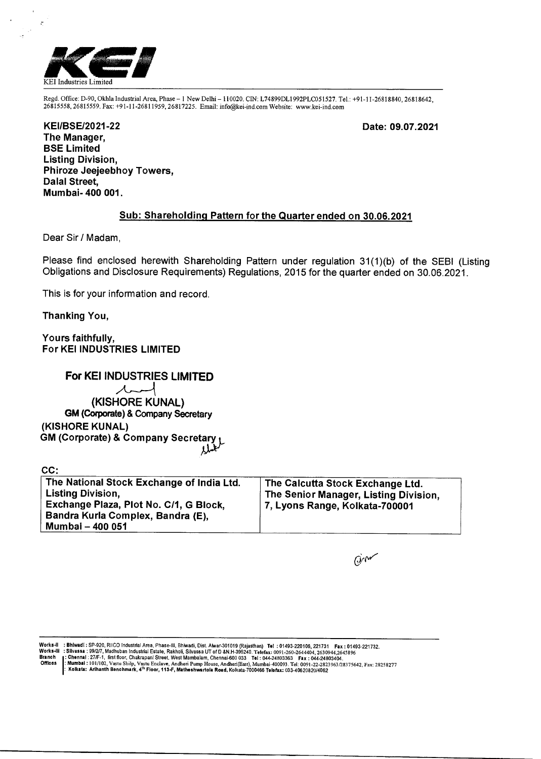

Regd. Office: D-90, Okhla Industrial Area, Phase — 1 New Delhi — 110020. CIN: L74899DL1992PLC051527. Tel.: +91-11-26818840, 26818642, 26815558, 26815559. Fax: +91-11-26811959, 26817225. Email: info@kei-ind.comWebsite: www.kei-ind.com

**Date: 09.07.2021** 

**KEI/BSE/2021-22 The Manager, BSE Limited Listing Division, Phiroze Jeejeebhoy Towers, Dalai Street, Mumbai- 400 001.** 

## **Sub: Shareholding Pattern for the Quarter ended on 30.06.2021**

Dear Sir / Madam,

Please find enclosed herewith Shareholding Pattern under regulation 31(1)(b) of the SEBI (Listing Obligations and Disclosure Requirements) Regulations, 2015 for the quarter ended on 30.06.2021.

This is for your information and record.

**Thanking You,** 

 $\sim$ 

**Yours faithfully, For KEI INDUSTRIES LIMITED** 

**For KEI INDUSTRIES LIMITED**   $\lambda$ **(KISHORE KUNAL) GM (Corporate) & Company Secretary (KISHORE KUNAL) GM (Corporate) & Company Secretary** 

| CC:                                                                                                                                                                      |                                                                                                             |
|--------------------------------------------------------------------------------------------------------------------------------------------------------------------------|-------------------------------------------------------------------------------------------------------------|
| The National Stock Exchange of India Ltd.<br><b>Listing Division,</b><br>Exchange Plaza, Plot No. C/1, G Block,<br>Bandra Kurla Complex, Bandra (E),<br>Mumbai - 400 051 | The Calcutta Stock Exchange Ltd.<br>The Senior Manager, Listing Division,<br>7, Lyons Range, Kolkata-700001 |

 $\dot{\omega}$ 

Works-II : Bhiwadi : SP-920, RIICO Industrial Area, Phase-III, Bhiwadi, Dist. Alwar-301019 (Rajasthan) Tel : 01493-220106, 221731 Fax : 01493-221732.<br>Works-III : Slivassa : 99/2/7, Madhuban Industrial Estate, Rakholi, Sliv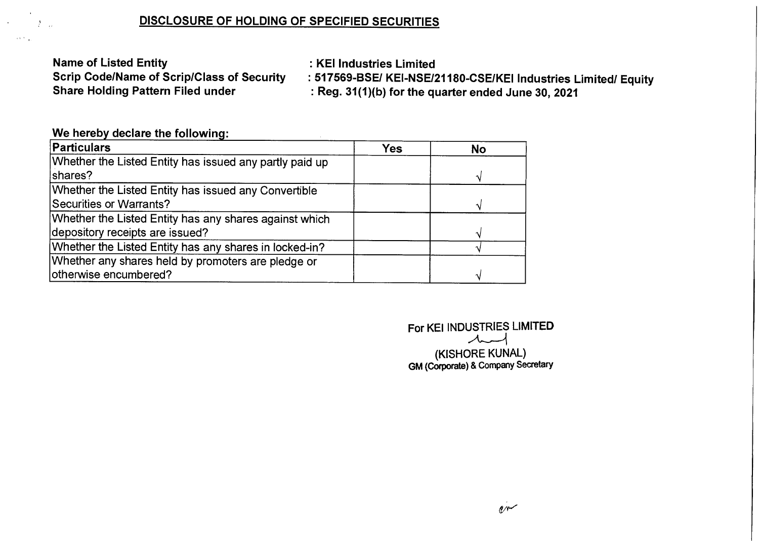## **DISCLOSURE OF HOLDING OF SPECIFIED SECURITIES**

**Name of Listed Entity in the Control of Listed Entity Scrip Code/Name of Scrip/Class of Security : 517569-BSE/ KEI-NSE/2** 

**Scrip Code/Name of Scrip/Class of Security : 517569-BSE/ KEI-NSE/21180-CSE/KEI Industries Limited/ Equity Share Ended June 30, 2021 : Reg. 31(1)(b) for the quarter ended June 30, 2021** 

## **We hereby declare the following:**

 $\mathbb{R}^n$   $\mathbb{R}^n$ 

 $\lambda_{\rm eff}$  is  $\lambda_{\rm eff}$ 

| Particulars                                             | <b>Yes</b> | <b>No</b> |
|---------------------------------------------------------|------------|-----------|
| Whether the Listed Entity has issued any partly paid up |            |           |
| shares?                                                 |            |           |
| Whether the Listed Entity has issued any Convertible    |            |           |
| Securities or Warrants?                                 |            |           |
| Whether the Listed Entity has any shares against which  |            |           |
| depository receipts are issued?                         |            |           |
| Whether the Listed Entity has any shares in locked-in?  |            |           |
| Whether any shares held by promoters are pledge or      |            |           |
| otherwise encumbered?                                   |            |           |

**For KEI INDUSTRIES LIMITED .A.------1 (KISHORE KUNAL) GM (Corporate) & Company Secretary**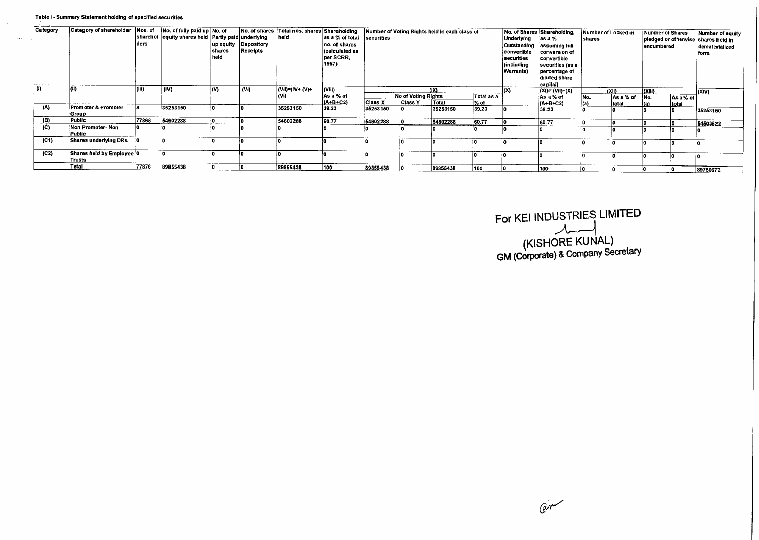## Table I - Summary Statement holding of specified securities

| section | ---<br>Category | Category of shareholder Nos. of     | ders  | No. of fully paid up No. of<br>sharehol equity shares held Partly paid underlying | shares<br>held | up equity Depository<br>Receipts | No. of shares Total nos. shares Shareholding Number of Voting Rights held in each class of<br> heid | as a % of total<br>no. of shares<br>(calculated as<br>per SCRR.<br>1957) | securities     |                                       |               |                     | Underlying<br>converlible<br>securities<br>(including<br>Warrants) | No. of Shares Shareholding,<br>as a %<br>Outstanding assuming full<br><b>Conversion of</b><br>convertible<br>securities (as a<br>percentage of<br>diluted share<br>capital) | Number of Locked in<br>shares |                    | Number of Shares<br>encumbered |           | Number of equity<br>piedged or otherwise shares held in<br>dematerialized<br>form |
|---------|-----------------|-------------------------------------|-------|-----------------------------------------------------------------------------------|----------------|----------------------------------|-----------------------------------------------------------------------------------------------------|--------------------------------------------------------------------------|----------------|---------------------------------------|---------------|---------------------|--------------------------------------------------------------------|-----------------------------------------------------------------------------------------------------------------------------------------------------------------------------|-------------------------------|--------------------|--------------------------------|-----------|-----------------------------------------------------------------------------------|
|         |                 |                                     |       | (IV)                                                                              | l(V)           | V                                | $ (VII)= (IV+ (V)+$<br>(VI)                                                                         | (VIII)<br>As a % of<br>$(A+B+C2)$                                        | <b>Class X</b> | No of Voting Rights<br><b>Class Y</b> | (IX)<br>Total | Total as a<br>∣% of | l(X)                                                               | (XI)= (VII)+(X)<br>As a % of                                                                                                                                                | INo.                          | (XII)<br>As a % of | (XIII)<br>INo.                 | As a % of | (xiv)                                                                             |
|         | (A)             | Promoter & Promoter<br>Group        |       | 35253150                                                                          |                |                                  | 35253150                                                                                            | 39.23                                                                    | 35253150       |                                       | 35253150      | 39.23               |                                                                    | (A+B+C2)<br>39.23                                                                                                                                                           | (a)                           | Itotal             |                                | total     | 35253150                                                                          |
|         | (B)             | Public                              | 77868 | 54602288                                                                          |                |                                  | 54602288                                                                                            | 60.77                                                                    | 54602288       |                                       | 54602288      | 60.77               |                                                                    | 60.77                                                                                                                                                                       |                               |                    |                                |           | 54503522                                                                          |
|         | (C)             | Non Promoter-Non<br>Public          |       |                                                                                   |                |                                  |                                                                                                     |                                                                          |                |                                       |               |                     |                                                                    |                                                                                                                                                                             |                               |                    |                                |           |                                                                                   |
|         | (C1)            | <b>Shares underlying DRs</b>        |       |                                                                                   |                |                                  |                                                                                                     |                                                                          |                |                                       |               |                     |                                                                    |                                                                                                                                                                             |                               |                    |                                |           |                                                                                   |
|         | (C2)            | Shares held by Employee 0<br>Trusts |       |                                                                                   |                |                                  |                                                                                                     |                                                                          |                |                                       |               |                     |                                                                    |                                                                                                                                                                             |                               |                    |                                |           |                                                                                   |
|         |                 | Total                               | 77876 | 89855438                                                                          |                |                                  | 89855438                                                                                            | 100                                                                      | 89855438       |                                       | 89855438      | 100                 |                                                                    | 100                                                                                                                                                                         |                               |                    |                                |           | 89756672                                                                          |

**For KEI INDUSTRIES LIMITED (KISHORE KUNAL) GM (Corporate) &** Company Secretary

 $G_{\Lambda}$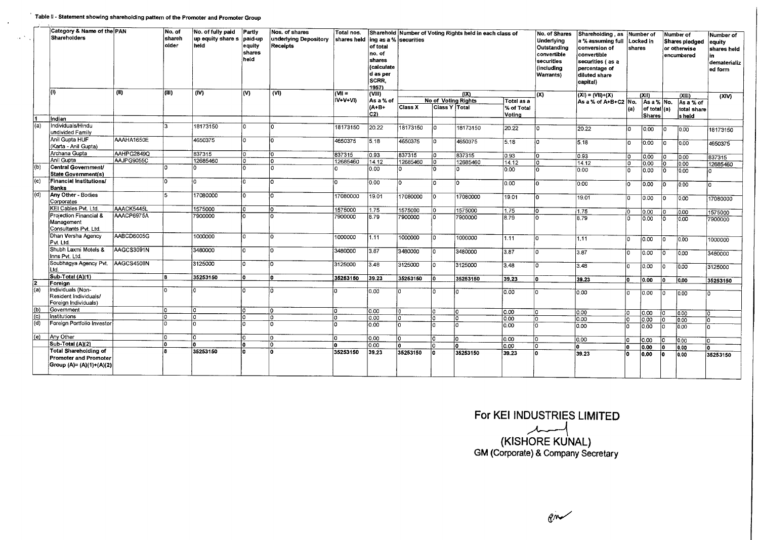|     | Category & Name of the PAN<br><b>Shareholders</b>                                         |            | No. of<br>shareh<br>older | No. of fully paid<br>up equity share s<br>held | Partly<br>paid-up<br>equity<br>shares<br>heid | Nos, of shares<br>underlying Depository<br>Receipts | Total nos.<br>shares held | of total<br>no, of<br>shares<br><i><b>(calculate</b></i><br>d as per<br><b>SCRR.</b><br>1957) | ing as a % securities |                                                    |          | Sharehold Number of Voting Rights held in each class of |     | No. of Shares<br>Underlying<br>Outstanding<br>convertible<br>securities<br>(including<br><b>Warrants)</b> |                | Shareholding, as Number of<br>a % assuming full<br>conversion of<br>convertible<br>securities (as a<br>percentage of<br>diluted share<br>capital) | shares   | Locked in                          |          | Number of<br>Shares pledged<br>or otherwise<br>encumbered | Number of<br>equity<br>shares held<br>dematerializ<br>ed form |
|-----|-------------------------------------------------------------------------------------------|------------|---------------------------|------------------------------------------------|-----------------------------------------------|-----------------------------------------------------|---------------------------|-----------------------------------------------------------------------------------------------|-----------------------|----------------------------------------------------|----------|---------------------------------------------------------|-----|-----------------------------------------------------------------------------------------------------------|----------------|---------------------------------------------------------------------------------------------------------------------------------------------------|----------|------------------------------------|----------|-----------------------------------------------------------|---------------------------------------------------------------|
|     | lm                                                                                        | (II)       | (III)                     | (IV)                                           | (V)                                           | $\overline{\text{(VI)}}$                            | $= 100$                   | (VIII)                                                                                        |                       |                                                    | (IX)     |                                                         | (x) | $(XI) = (VII)+(X)$                                                                                        |                | (XI)                                                                                                                                              |          | (x  )                              | (XIV)    |                                                           |                                                               |
|     |                                                                                           |            |                           |                                                |                                               |                                                     | IV+V+VI)                  | As a % of<br>$(A + B +$<br>C2                                                                 | Class X               | <b>No of Voting Rights</b><br><b>Class Y Total</b> |          | <b>Total as a</b><br>% of Total<br>Votina               |     | As a % of A+B+C2 No.                                                                                      | (a)            | As a % No.<br>of total $(a)$<br><b>Shares</b>                                                                                                     |          | As a % of<br>total share<br>s heid |          |                                                           |                                                               |
|     | Indian                                                                                    |            |                           |                                                |                                               |                                                     |                           |                                                                                               |                       |                                                    |          |                                                         |     |                                                                                                           |                |                                                                                                                                                   |          |                                    |          |                                                           |                                                               |
| (a) | Individuals/Hindu<br>undivided Family                                                     |            | 3                         | 18173150                                       |                                               | I∩                                                  | 18173150                  | 20.22                                                                                         | 18173150              | ١o                                                 | 18173150 | 20.22                                                   |     | 20.22                                                                                                     | ١o             | 0.00                                                                                                                                              |          | 0.00                               | 18173150 |                                                           |                                                               |
|     | Anil Gupta HUF<br>(Karta - Anil Gupta)                                                    | AAAHA1650E |                           | 4650375                                        | $\Omega$                                      | l٥                                                  | 4650375                   | 5.18                                                                                          | 4650375               | I٥                                                 | 4650375  | 5.18                                                    | I۵  | 5.18                                                                                                      | l٥             | 0.00                                                                                                                                              |          | 0.00                               | 4650375  |                                                           |                                                               |
|     | Archana Gupta                                                                             | AAHPG2849Q |                           | 837315                                         | I٥                                            | lo.                                                 | 837315                    | 0.93                                                                                          | 837315                | l٥                                                 | 837315   | 0.93                                                    | l٥  | 0.93                                                                                                      | l٥             | 0.00                                                                                                                                              |          | 0.00                               | 837315   |                                                           |                                                               |
|     | Anil Gupta                                                                                | AAJPG9055C |                           | 12685460                                       | lo i                                          | I٥                                                  | 12685460                  | 14.12                                                                                         | 12685460              | I٥                                                 | 12685460 | 14.12                                                   | ١o  | 14.12                                                                                                     | I٥             | 0.00                                                                                                                                              |          | 0.00                               | 12685460 |                                                           |                                                               |
| (b) | Central Government/<br><b>State Government(s)</b>                                         |            | O.                        |                                                | l٥                                            | ۱η                                                  | n                         | 0.00                                                                                          |                       | m                                                  |          | 0.00                                                    | ١o  | 0.00                                                                                                      | l۵             | 0.00                                                                                                                                              | ١o       | 0.00                               | n        |                                                           |                                                               |
| (c) | Financial Institutions/<br><b>Banks</b>                                                   |            | O                         | O                                              | n                                             | Īσ                                                  | O                         | 0.00                                                                                          | l٥                    | I٥                                                 |          | 0.00                                                    | l٥  | 0.00                                                                                                      | l٥             | 0.00                                                                                                                                              |          | 0.00                               | 'n       |                                                           |                                                               |
| (d) | Any Other - Bodies<br>Corporates                                                          |            | 5                         | 17080000                                       | l٥                                            | ١o                                                  | 17080000                  | 19.01                                                                                         | 17080000              | I٥                                                 | 17080000 | 19.01                                                   | ١o  | 19.01                                                                                                     | ln.            | 0.00                                                                                                                                              |          | 10.00                              | 17080000 |                                                           |                                                               |
|     | KEI Cables Pvt. Ltd.                                                                      | AAACK5445L |                           | 1575000                                        |                                               | l٥                                                  | 1575000                   | 1.75                                                                                          | 1575000               | lo.                                                | 1575000  | 1.75                                                    | 10  | 1.75                                                                                                      |                | io.oo                                                                                                                                             |          | 0.00                               | 1575000  |                                                           |                                                               |
|     | Projection Financial &<br>Management<br>Consultants Pvt. Ltd.                             | AAACP6975A |                           | 7900000                                        |                                               | l٥                                                  | 7900000                   | 8.79                                                                                          | 7900000               | ln.                                                | 7900000  | 8.79                                                    | l٥  | 8.79                                                                                                      |                | 0.00                                                                                                                                              |          | 0.00                               | 7900000  |                                                           |                                                               |
|     | Dhan Versha Agency<br>Pvt. Ltd.                                                           | AABCD6005G |                           | 1000000                                        | l٥                                            | l۵                                                  | 1000000                   | 1.11                                                                                          | 1000000               | ١o                                                 | 1000000  | 11.11                                                   | l٥  | 1.11                                                                                                      | n.             | 0.00                                                                                                                                              |          | 0.00                               | 1000000  |                                                           |                                                               |
|     | Shubh Laxmi Motels &<br>Inns Pvt. Ltd.                                                    | AAGCS3091N |                           | 3480000                                        |                                               | l٥                                                  | 3480000                   | 3.87                                                                                          | 3480000               | n.                                                 | 3480000  | 3.87                                                    | l٥  | 3.87                                                                                                      | ١o             | 0.00                                                                                                                                              | ł٥       | 0.00                               | 3480000  |                                                           |                                                               |
|     | Soubhagya Agency Pvt. AAGCS4508N<br>Ltd.                                                  |            |                           | 3125000                                        |                                               | ۱n                                                  | 3125000                   | 3.48                                                                                          | 3125000               |                                                    | 3125000  | 3.48                                                    | l٥  | 3.48                                                                                                      | ١o             | 0.00                                                                                                                                              | ۱n       | 0.00                               | 3125000  |                                                           |                                                               |
|     | Sub-Total (A)(1)                                                                          |            | R                         | 35253150                                       | n                                             | l۵                                                  | 35253150                  | 39.23                                                                                         | 35253150              | 'n                                                 | 35253150 | 39.23                                                   | l۵  | 39.23                                                                                                     | lo.            | 0.00                                                                                                                                              | ١n       | 10.00                              | 35253150 |                                                           |                                                               |
|     | Foreign                                                                                   |            |                           |                                                |                                               |                                                     |                           |                                                                                               |                       |                                                    |          |                                                         |     |                                                                                                           |                |                                                                                                                                                   |          |                                    |          |                                                           |                                                               |
| (a) | Individuals (Non-<br>Resident Individuals/<br>Foreign Individuals)                        |            | In                        | I٥                                             |                                               | ۱n                                                  | n                         | 0.00                                                                                          | n                     | $\Omega$                                           |          | 0.00                                                    | ۱n  | 10.00                                                                                                     | $\overline{0}$ | 0.00                                                                                                                                              | $\Omega$ | 0.00                               |          |                                                           |                                                               |
| (b) | Government                                                                                |            | <sub>0</sub>              | lo.                                            |                                               | ١o                                                  | O                         | 0.00                                                                                          |                       | <sub>0</sub>                                       | ۱a       | 0.00                                                    | ١o  | 0.00                                                                                                      | ۱o             | 0.00                                                                                                                                              |          | 0.00                               | ١o       |                                                           |                                                               |
| (c) | Institutions                                                                              |            | l۵                        | ۱ö                                             |                                               | I٥                                                  | O                         | 0.00                                                                                          |                       | lo.                                                | ١o       | 0.00                                                    | lo. | 0.00                                                                                                      | 'n             | 0.00                                                                                                                                              | ١o       | 0.00                               | ١o       |                                                           |                                                               |
| (d) | Foreign Portfolio Investor                                                                |            | ln.                       | $\overline{a}$                                 |                                               | lo.                                                 |                           | 0.00                                                                                          |                       | $\Omega$                                           | $\Omega$ | 0.00                                                    | ۱o  | 0.00                                                                                                      | n              | 0.00                                                                                                                                              | l٥       | 0.00                               | ln.      |                                                           |                                                               |
| (e) | Any Other                                                                                 |            | n                         | ⊺о                                             |                                               | I٥                                                  | n                         | 0.00                                                                                          | $\Omega$              | ١o                                                 | ١n       | 0.00                                                    | ١o  | 0.00                                                                                                      |                | 0.00                                                                                                                                              | ın       | 0.00                               | lo.      |                                                           |                                                               |
|     | Sub-Total (A)(2)                                                                          |            | Ô                         | ۱η                                             |                                               | ١o                                                  | n.                        | 0.00                                                                                          |                       | ln.                                                | ۱٥       | 0.00                                                    | I٥  |                                                                                                           |                | 0.00                                                                                                                                              | To       | 0.00                               | lo.      |                                                           |                                                               |
|     | <b>Total Shareholding of</b><br><b>Promoter and Promoter</b><br> Group (A)= (A)(1)+(A)(2) |            |                           | 35253150                                       |                                               | I٥                                                  | 35253150                  | 39.23                                                                                         | 35253150              | lo.                                                | 35253150 | 39.23                                                   | ١o  | 39.23                                                                                                     |                | 0.00                                                                                                                                              | 1o       | 0.00                               | 35253150 |                                                           |                                                               |

**For KEI INDUSTRIES LIMITED** 

**(KISHORE KUNAL) GM** (Corporate) & Company Secretary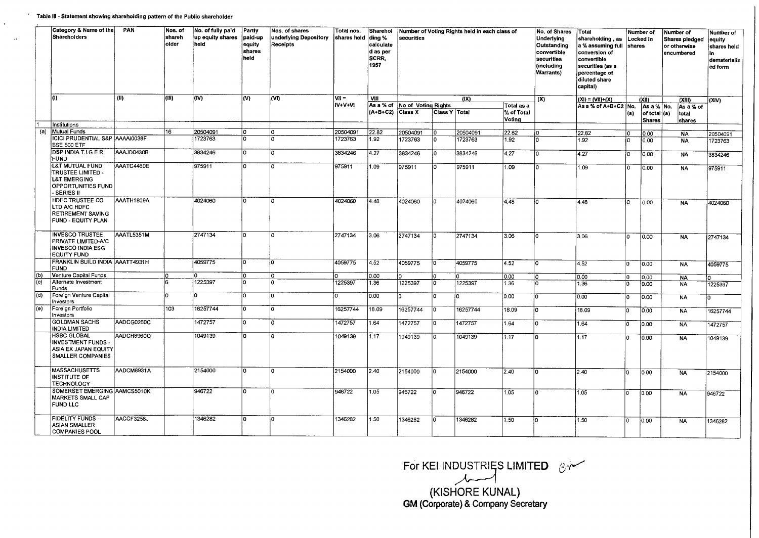|     | Category & Name of the<br>Shareholders                                                               | PAN<br>Nos. of<br>shareh<br>older<br>(11)<br>(III) | No. of fully paid<br>up equity shares<br>held | Partly<br>paid-up<br>equity<br>shares<br>held | Nos, of shares<br>underlying Depository<br>Receipts | Total nos.<br>shares held |          | Number of Voting Rights held in each class of<br>securities |                                       | No. of Shares<br>Total<br><b>Underlying</b><br>shareholding , as<br>Outstanding<br>a % assuming full<br>convertible<br>conversion of<br>securities<br>convertible<br>(including<br>securities (as a<br><b>Warrants</b> )<br>percentage of<br>diluted share<br>capital)<br>(X) |          |                                    | <b>shares</b> | Number of<br>Locked in | Number of<br>or otherwise<br>encumbered | Shares pledged                                | Number of<br>equity<br>shares held<br>l in<br>dematerializ<br>ed form |                            |              |
|-----|------------------------------------------------------------------------------------------------------|----------------------------------------------------|-----------------------------------------------|-----------------------------------------------|-----------------------------------------------------|---------------------------|----------|-------------------------------------------------------------|---------------------------------------|-------------------------------------------------------------------------------------------------------------------------------------------------------------------------------------------------------------------------------------------------------------------------------|----------|------------------------------------|---------------|------------------------|-----------------------------------------|-----------------------------------------------|-----------------------------------------------------------------------|----------------------------|--------------|
|     | lO)                                                                                                  |                                                    |                                               | (IV)                                          | (V)                                                 | (VI)                      | $V1 =$   | VIII                                                        |                                       |                                                                                                                                                                                                                                                                               | (IX)     |                                    |               | $(XI) = (VII)+(X)$     |                                         | (X 1)                                         |                                                                       | (XIII)                     | (XIV)        |
|     |                                                                                                      |                                                    |                                               |                                               |                                                     |                           | iv+v+vi  | As a % of<br>$(A+B+C2)$                                     | No of Voting Rights<br><b>Class X</b> | Class Y ∣Totai                                                                                                                                                                                                                                                                |          | Total as a<br>% of Total<br>Voting |               | As a % of A+B+C2 No.   | (a)                                     | As a % No.<br>of total $(a)$<br><b>Shares</b> |                                                                       | Asa% of<br>total<br>shares |              |
|     | Institutions                                                                                         |                                                    |                                               |                                               |                                                     |                           |          |                                                             |                                       |                                                                                                                                                                                                                                                                               |          |                                    |               |                        |                                         |                                               |                                                                       |                            |              |
| (a) | <b>Mutual Funds</b>                                                                                  |                                                    | 16                                            | 20504091                                      | ۱o                                                  | 0                         | 20504091 | 22.82                                                       | 20504091                              | I٥                                                                                                                                                                                                                                                                            | 20504091 | 22.82                              | l٥            | 22.82                  | ١o                                      | 0.00                                          |                                                                       | <b>NA</b>                  | 20504091     |
|     | <b>ICICI PRUDENTIAL S&amp;P AAAAI0038F</b><br>BSE 500 ETF                                            |                                                    |                                               | 1723763                                       | n                                                   | n                         | 1723763  | 1.92                                                        | 1723763                               | ١o                                                                                                                                                                                                                                                                            | 1723763  | 1.92                               | In            | 1.92                   | I٥                                      | 10.00                                         |                                                                       | <b>NA</b>                  | 1723763      |
|     | DSP INDIA T.I.G.E.R.<br><b>FUND</b>                                                                  | AAAJD0430B                                         |                                               | 3834246                                       | o                                                   | ١ō                        | 3834246  | 4.27                                                        | 3834246                               | I٥                                                                                                                                                                                                                                                                            | 3834246  | 4.27                               | In            | 4.27                   | 10.                                     | 0.00                                          |                                                                       | <b>NA</b>                  | 3834246      |
|     | L&T MUTUAL FUND<br>TRUSTEE LIMITED -<br><b>L&amp;T EMERGING</b><br>OPPORTUNITIES FUND<br>- SERIES II | AAATC4460E                                         |                                               | 975911                                        | lo.                                                 | l٥                        | 975911   | 1.09                                                        | 975911                                | ١o                                                                                                                                                                                                                                                                            | 975911   | 1.09                               | In            | 1.09                   | O                                       | 0.00                                          |                                                                       | <b>NA</b>                  | 975911       |
|     | HDFC TRUSTEE CO<br>LTD A/C HDFC<br>RETIREMENT SAVING<br>FUND - EQUITY PLAN                           | AAATH1809A                                         |                                               | 4024060                                       | lo.                                                 | ۱n                        | 4024060  | 4.48                                                        | 4024060                               | ۱n                                                                                                                                                                                                                                                                            | 4024060  | 4.48                               | I٥            | 4.48                   | ١o                                      | 0.00                                          |                                                                       | <b>NA</b>                  | 4024060      |
|     | <b>INVESCO TRUSTEE</b><br>PRIVATE LIMITED-A/C<br><b>INVESCO INDIA ESG</b><br><b>EQUITY FUND</b>      | AAATL5351M                                         |                                               | 2747134                                       | 'n                                                  | l٥                        | 2747134  | 3.06                                                        | 2747134                               | l٥                                                                                                                                                                                                                                                                            | 2747134  | 3.06                               |               | 3.06                   | ۱n                                      | 0.00                                          |                                                                       | <b>NA</b>                  | 2747134      |
|     | FRANKLIN BUILD INDIA AAATT4931H<br><b>FUND</b>                                                       |                                                    |                                               | 4059775                                       | lö.                                                 | ١o                        | 4059775  | 4.52                                                        | 4059775                               | lo.                                                                                                                                                                                                                                                                           | 4059775  | 4.52                               | $\Omega$      | 4.52                   | l٥                                      | 0.00                                          |                                                                       | <b>NA</b>                  | 4059775      |
| (b) | Venture Capital Funds                                                                                |                                                    |                                               |                                               | C.                                                  | $\overline{ }$            |          | 0.00                                                        |                                       | I٥                                                                                                                                                                                                                                                                            |          | 0.00                               |               | 0,00                   | ١o                                      | 0.00                                          |                                                                       | <b>NA</b>                  |              |
| (c) | Alternate Investment<br>Funds                                                                        |                                                    | l6.                                           | 1225397                                       | I٥                                                  |                           | 1225397  | 1.36                                                        | 1225397                               | 10                                                                                                                                                                                                                                                                            | 1225397  | 1.36                               | l0            | 1.36                   | l٥                                      | 0.00                                          |                                                                       | <b>NA</b>                  | 1225397      |
| (d) | Foreign Venture Capital<br>Investors                                                                 |                                                    | n.                                            | l٥                                            | ln.                                                 | l٥                        | o        | 0.00                                                        | l٥                                    | ۱o                                                                                                                                                                                                                                                                            | lo.      | 0.00                               |               | 0.00                   | ١o                                      | 0.00                                          |                                                                       | <b>NA</b>                  | <sup>o</sup> |
| (e) | Foreign Portfolio<br>Investors                                                                       |                                                    | 103                                           | 16257744                                      | $\overline{0}$                                      | l٥                        | 16257744 | 18.09                                                       | 16257744                              | ١o                                                                                                                                                                                                                                                                            | 16257744 | 18.09                              |               | 18.09                  | l٥                                      | 0.00                                          |                                                                       | <b>NA</b>                  | 16257744     |
|     | <b>GOLDMAN SACHS</b><br><b>INDIA LIMITED</b>                                                         | AADCG0260C                                         |                                               | 1472757                                       | ۱o                                                  | ۱n                        | 1472757  | 1.64                                                        | 1472757                               | ١o                                                                                                                                                                                                                                                                            | 1472757  | 1.64                               |               | 1.64                   | ١o                                      | 0.00                                          |                                                                       | NA                         | 1472757      |
|     | <b>HSBC GLOBAL</b><br>INVESTMENT FUNDS -<br>ASIA EX JAPAN EQUITY<br><b>SMALLER COMPANIES</b>         | AADCH8960Q                                         |                                               | 1049139                                       | $\overline{0}$                                      | ۱n                        | 1049139  | 1.17                                                        | 1049139                               | l٥                                                                                                                                                                                                                                                                            | 1049139  | 1.17                               |               | 1.17                   | lo.                                     | 0.00                                          |                                                                       | <b>NA</b>                  | 1049139      |
|     | <b>MASSACHUSETTS</b><br>INSTITUTE OF<br><b>TECHNOLOGY</b>                                            | AADCM8931A                                         |                                               | 2154000                                       | O                                                   | ١o                        | 2154000  | 2.40                                                        | 2154000                               | ١o                                                                                                                                                                                                                                                                            | 2154000  | 2.40                               | ln.           | 2.40                   | I٥                                      | 0.00                                          |                                                                       | <b>NA</b>                  | 2154000      |
|     | SOMERSET EMERGING AAMCS5010K<br><b>MARKETS SMALL CAP</b><br><b>FUND LLC</b>                          |                                                    |                                               | 946722                                        | lo.                                                 | ١o                        | 946722   | 1.05                                                        | 946722                                | l٥                                                                                                                                                                                                                                                                            | 946722   | 1.05                               | n             | 1.05                   | ١o                                      | 0.00                                          |                                                                       | <b>NA</b>                  | 946722       |
|     | <b>FIDELITY FUNDS -</b><br><b>ASIAN SMALLER</b><br><b>COMPANIES POOL</b>                             | AACCF3258J                                         |                                               | 1346282                                       | ln.                                                 | ١n                        | 1346282  | 1.50                                                        | 1346282                               | In.                                                                                                                                                                                                                                                                           | 1346282  | 1.50                               |               | 1.50                   | l٥                                      | 0.00                                          |                                                                       | <b>NA</b>                  | 1346282      |

For KEI INDUSTRIĘS LIMITED

(KISHORE KUNAL) **GM** (Corporate) & Company Secretary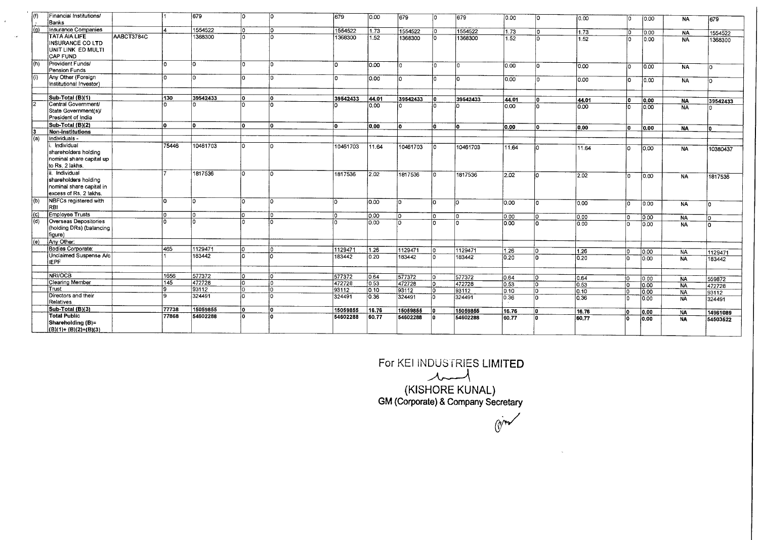| l(f)               | Financial Institutions/<br><b>Banks</b>                                                  |            |       | 679      | In. | ١o  | 1679.    | 0.00           | 679      | ln.      | $\sqrt{679}$ | 0.00   | In.      | 0.00          |              | 0.00              | <b>NA</b> | 679                |
|--------------------|------------------------------------------------------------------------------------------|------------|-------|----------|-----|-----|----------|----------------|----------|----------|--------------|--------|----------|---------------|--------------|-------------------|-----------|--------------------|
| (a)                | Insurance Companies                                                                      |            |       | 1554522  | ln. | l٥  | 1554522  | 1.73           | 1554522  | $\Omega$ | 1554522      | 11.73  | l٥       | 1.73          |              | 0.00              | <b>NA</b> |                    |
|                    | <b>TATA AIA LIFE</b><br><b>INSURANCE CO LTD</b><br>Unit Link ED MULTI<br><b>CAP FUND</b> | AABCT3784C |       | 1368300  |     |     | 1368300  | 1.52           | 1368300  | In       | 1368300      | 1.52   | n        | 1.52          | n.           | 0.00              | <b>NA</b> | 1554522<br>1368300 |
| (h)                | Provident Funds/<br>Pension Funds                                                        |            | I٥    | ١o       | In  | lo. | l٥       | 0.00           | l٥.      | ۱n.      | In.          | 10.00. | n.       | 0.00          | In           | 0.00              | <b>NA</b> |                    |
| l (i)              | Any Other (Foreign<br>Institutional Investor)                                            |            | ١n    | 'n       | ln. | lo  | In       | 0.00           | l0.      |          |              | 0.00   | $\Omega$ | 0.00          | ìn           | 0.00              | <b>NA</b> |                    |
|                    | Sub-Total (B)(1)                                                                         |            | 130   | 39542433 | lo. | lo. | 39542433 | 44.01          | 39542433 |          | 39542433     | 44.01  | Ō        | 44.01         | ١o           | 0.00              | <b>NA</b> | 39542433           |
|                    | Central Government/<br>State Government(s)/<br>President of India                        |            |       | ۱n       | I∩  | ۱n  |          | 0.00           |          |          |              | 0.00   |          | 0.00          |              | 0.00              | <b>NA</b> |                    |
|                    | Sub-Total (B)(2)                                                                         |            | lo.   | ۱o       | lo. | lo. | l٨       | 0.00           | lo.      | n.       | lo.          | 0.00   | 'n       | 0.00          | ın           | 0.00              | <b>NA</b> | l۵                 |
|                    | Non-institutions                                                                         |            |       |          |     |     |          |                |          |          |              |        |          |               |              |                   |           |                    |
| (a)                | Individuals -                                                                            |            |       |          |     |     |          |                |          |          |              |        |          |               |              |                   |           |                    |
|                    | Individual<br>shareholders holding<br>nominal share capital up<br>to Rs. 2 lakhs.        |            | 75446 | 10461703 | I٥  | In  | 10461703 | 11.64          | 10461703 | ۱o       | 10461703     | 11.64  |          | 11.64         | ۱n           | $\overline{0.00}$ | <b>NA</b> | 10380437           |
|                    | Individual<br>shareholders holding<br>nominal share capital in<br>excess of Rs. 2 lakhs. |            |       | 1817536  | ۱n. | lo. | 1817536  | $ 2.02\rangle$ | 1817536  | n.       | 1817536      | 2.02   | In.      | $\sqrt{2.02}$ | 'n           | 0.00              | <b>NA</b> | 1817536            |
| (b)                | NBFCs registered with<br>RBI                                                             |            | l٥    | ۱o       | In. | I٥  | In.      | 0.00           | łn       | l٥       | l٥           | 0.00   | l∩       | 0.00          | ١n           | 0.00              | <b>NA</b> | In                 |
|                    | Employee Trusts                                                                          |            | ۱n    | In.      |     | I٥  | łn       | 0.00           | lo.      | I۵       | I٥           | 0.00   | lo:      | 0.00          | ١n           | 0.00              | <b>NA</b> |                    |
| $\left( d \right)$ | Overseas Depositories<br>(holding DRs) (balancing<br>figure)                             |            |       |          |     | ١n  |          | 0.00           | I∩       | $\Omega$ | In           | 0.00   | ln.      | 0.00          |              | 0.00              | <b>NÁ</b> | In                 |
| (e)                | Any Other:                                                                               |            |       |          |     |     |          |                |          |          |              |        |          |               |              |                   |           |                    |
|                    | Bodies Corporate:                                                                        |            | 465   | 1129471  |     | ١o  | 1129471  | 1.26           | 1129471  | ۱n       | 1129471      | 1.26   | l٥       | 1.26          | 10           | $\overline{0.00}$ | <b>NA</b> | 1129471            |
|                    | Unclaimed Suspense A/c<br><b>IEPF</b>                                                    |            |       | 183442   |     | I∩  | 183442   | 0.20           | 183442   | ln.      | 183442       | 0.20   | l٥       | 0.20          | ١n           | 0.00              | <b>NA</b> | 183442             |
|                    | NRI/OCB                                                                                  |            | 1656  | 577372   | In. | lo. | 577372   | 0.64           | 577372   | ln.      | 577372       | 0.64   | l٥       | 0.64          | $\mathsf{I}$ | 0.00              | <b>NA</b> |                    |
|                    | <b>Clearing Member</b>                                                                   |            | 145   | 472728   | lo. | łó. | 472728   | 10.53          | 472728   | In.      | 472728       | 0.53   | łо       | 0.53          | ١n           | 0.00              | <b>NA</b> | 559872<br>472728   |
|                    | Trust                                                                                    |            | Ι۹    | 93112    | In. | I۵  | 93112    | 0.10           | 93112    | 1o.      | 93112        | 0.10   | ÌО       | 0.10          |              | 0.00              | <b>NA</b> | 93112              |
|                    | Directors and their<br>Relatives                                                         |            | I۵    | 324491   | lo. | łn  | 324491   | 0.36           | 324491   | lo.      | 324491       | 0.36   | İn       | 0.36          |              | 0.00              | <b>NA</b> | 324491             |
|                    | Sub-Total (B)(3)                                                                         |            | 77738 | 15059855 | ١o  | ١o  | 15059855 | 16.76          | 15059855 |          | 15059855     | 16.76  | l٥       | 16.76         | ١o           | 0.00              | <b>NA</b> | 14961089           |
|                    | <b>Total Public</b><br>Shareholding (B)=<br>$(B)(1)+(B)(2)+(B)(3)$                       |            | 77868 | 54602288 | lo. | ١n  | 54602288 | 60.77          | 54602288 | lo.      | 54602288     | 60.77  | ١n       | 60.77         | ١n           | 0.00              | <b>NA</b> | 54503522           |

 $\frac{1}{\sqrt{2}}$ 

For KEI INDUS FRIES LIMITED

(KISHORE KUNAL) **GM** (Corporate) & Company Secretary

 $Q^{\prime}$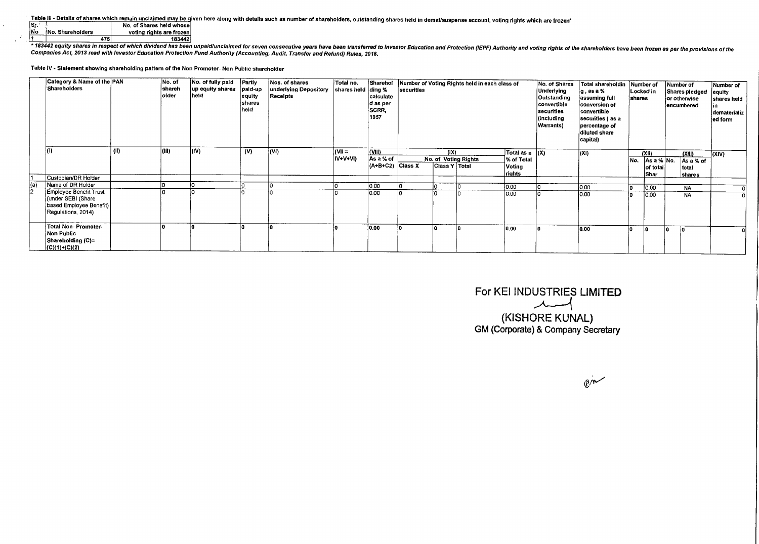Table III - Details of shares which remain unclaimed may be given here along with details such as number of shareholders, outstanding shares held in demat/suspense account, voting rights which are frozen\*<br>Sr. No No. Shareh

|     |                   | No. of Shares held whose |
|-----|-------------------|--------------------------|
| lNo | INo. Shareholders | voting rights are frozen |
|     |                   | 183442                   |

 $\mathcal{L}_{\mathbf{z}}$  .

the state of the dividend has been unpaid/unclaimed for seven consecutive years have been transferred to investor Education and Protection (IEPF) Authority and voting rights of the shareholders have been frozen as per the Companies Act, 2013 read with Investor Education Protection Fund Authority (Accounting, Audit, Transfer and Refund) Rules, 2016.

Table IV - Statement showing shareholding pattern of the Non Promoter- Non Public shareholder

|     | Category & Name of the PAN<br>Shareholders |      | No. of<br>shareh<br>older | No. of fully paid Partly<br>up equity shares<br>held | paid-up<br> equity<br><b>shares</b><br>held | Nos. of shares<br>underlying Depository<br>Receipts | Total no.<br>shares held ding % | Sharehol<br>calculate<br>d as per<br>SCRR,<br>1957 | securities |                      | Number of Voting Rights held in each class of |                       | No. of Shares<br>Underlying<br>Outstanding<br>convertible<br>securities<br>(including<br>Warrants) | Total shareholdin<br>∤g,asa %<br>assuming full<br>conversion of<br>convertible<br>securities (as a<br>percentage of<br>diluted share<br>capital) | <b>shares</b> | Number of<br>Locked in | Number of<br>Shares piedged equity<br>or otherwise<br>encumbered | Number of<br>shares held<br>dematerializ  <br>ed form |
|-----|--------------------------------------------|------|---------------------------|------------------------------------------------------|---------------------------------------------|-----------------------------------------------------|---------------------------------|----------------------------------------------------|------------|----------------------|-----------------------------------------------|-----------------------|----------------------------------------------------------------------------------------------------|--------------------------------------------------------------------------------------------------------------------------------------------------|---------------|------------------------|------------------------------------------------------------------|-------------------------------------------------------|
|     |                                            | (11) | lam)                      | $ $ (IV)                                             | (V)                                         | (V )                                                | (VII =                          | (VIII)                                             |            | $( X\rangle$         |                                               | Total as $a \mid (X)$ |                                                                                                    | (X )                                                                                                                                             |               | (XII)                  | (XIII)                                                           | (XIV)                                                 |
|     |                                            |      |                           |                                                      |                                             |                                                     | IV+V+VI)                        | As a % of                                          |            |                      | No. of Voting Rights                          | % of Total            |                                                                                                    |                                                                                                                                                  | No.           | As a % No.             | As a % of                                                        |                                                       |
|     |                                            |      |                           |                                                      |                                             |                                                     |                                 | $(A+B+C2)$ Class X                                 |            | <b>Class Y Total</b> |                                               | Voting                |                                                                                                    |                                                                                                                                                  |               | of total               | total                                                            |                                                       |
|     | Custodian/DR Holder                        |      |                           |                                                      |                                             |                                                     |                                 |                                                    |            |                      |                                               | rights                |                                                                                                    |                                                                                                                                                  |               | Shar                   | <b>shares</b>                                                    |                                                       |
| (a) | Name of DR Holder                          |      |                           |                                                      |                                             |                                                     |                                 | 0.00                                               |            |                      |                                               | 0.00                  |                                                                                                    | 0.00                                                                                                                                             |               | 0.00                   | <b>NA</b>                                                        |                                                       |
|     | <b>Employee Benefit Trust</b>              |      |                           |                                                      |                                             |                                                     |                                 | 0.00                                               |            |                      |                                               | 0.00                  |                                                                                                    | 0.00                                                                                                                                             |               | 0.00                   | <b>NA</b>                                                        |                                                       |
|     | (under SEBI (Share                         |      |                           |                                                      |                                             |                                                     |                                 |                                                    |            |                      |                                               |                       |                                                                                                    |                                                                                                                                                  |               |                        |                                                                  |                                                       |
|     | based Employee Benefit)                    |      |                           |                                                      |                                             |                                                     |                                 |                                                    |            |                      |                                               |                       |                                                                                                    |                                                                                                                                                  |               |                        |                                                                  |                                                       |
|     | Regulations, 2014)                         |      |                           |                                                      |                                             |                                                     |                                 |                                                    |            |                      |                                               |                       |                                                                                                    |                                                                                                                                                  |               |                        |                                                                  |                                                       |
|     | Total Non-Promoter-                        |      |                           |                                                      |                                             |                                                     |                                 | 0.00                                               |            |                      |                                               | 0.00                  |                                                                                                    | 0.00                                                                                                                                             |               |                        |                                                                  |                                                       |
|     | Non Public                                 |      |                           |                                                      |                                             |                                                     |                                 |                                                    |            |                      |                                               |                       |                                                                                                    |                                                                                                                                                  |               |                        |                                                                  |                                                       |
|     | Shareholding (C)=                          |      |                           |                                                      |                                             |                                                     |                                 |                                                    |            |                      |                                               |                       |                                                                                                    |                                                                                                                                                  |               |                        |                                                                  |                                                       |
|     | $  (C)(1)+(C)(2)$                          |      |                           |                                                      |                                             |                                                     |                                 |                                                    |            |                      |                                               |                       |                                                                                                    |                                                                                                                                                  |               |                        |                                                                  |                                                       |

For KEI INDUSTRIES LIMITED (KISHORE KUNAL) GM (Corporate) & Company Secretary

 $\mathbb{C}$